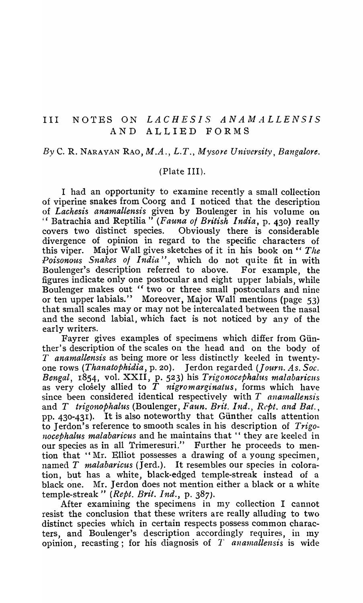### III NOTES ON *LACHESIS ANAlvlALLENSIS*  AND ALLIED FORMS

## *By* C. R. NARAYAN RAO, *M.A., L.T., Mysore University, Bangalore.*

## (Plate III).

I had an opportunity to examine recently a small collection of viperine snakes from Coorg and I noticed that the description of *Lachesis anamaltensis* given by Boulenger in his volume on "Batrachia and Reptilia" *(Fauna 01 British India,* p. 430) really Obviously there is considerable divergence of opinion in regard to the specific characters of this viper. Major Wall gives sketches of it in his book on " *The*  Poisonous Snakes of India", which do not quite fit in with Boulenger's description referred to above. For example, the Boulenger's description referred to above. figures indicate only one postocular and eight upper labials, while Boulenger makes out " two or three small postoculars and nine or ten upper labials." Moreover, Major Wall mentions (page 53) that small scales mayor may not be intercalated between the nasal and the second labial, which fact is not noticed by any of the early writers.

Fayrer gives examples of specimens which differ from Günther's description of the scales on the head and on the body of T *anamallensis* as being more or less distinctly keeled in twentyone rows *(Thanatophidia,* p. 20). Jerdon regarded *(Journ. As. Soc. Bengal, 1854, vol. XXII, p. 523)* his *Trigonocephalus malabaricus* as very closely allied to *T nigromarginatus,* forms which have since been considered identical respectively with  $T$  anamallensis and *T trigonophalus* (Boulenger , *Faun. Brit. Ind., Rcpt. and Bat.,*  pp. 430-431). It is also noteworthy that Günther calls attention to Jerdon's reference to smooth scales in his description of *Trigonocephalus malabaricus* and he maintains that " they are keeled in our species as in all Trimeresuri." Further he proceeds to mention that "Mr. Elliot possesses a drawing of a young specimen. named T *malabaricus* (Jerd.). It resembles our species in coloration, but has a white, black-edged temple-streak instead of a black one. Mr. Jerdon does not mention either a black or a white temple-streak" *(Rept. Brit. Ind.,* p. 387).

After examining the specimens in my collection I cannot resist the conclusion that these writers are really alluding to two distinct species which in certain respects possess common characters, and Boulenger's description accordingly requires, in my opinion, recasting; for his diagnosis of *T anamallensis* is wide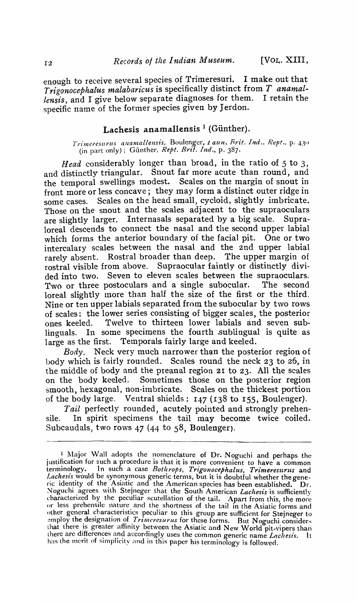enough to receive several species of Trimeresuri. I make out that *Trigonocephalus malabaricus* is specifically distinct from *T ana mallensis,* and I give below separate diagnoses for them. I retain the specific name of the former species given by Jerdon.

# Lachesis anamallensis<sup>1</sup> (Günther).

*Trimeresurus anamallensis, Boulenger, 1 aun. Frit. Ind., Rept., p. 430* (m part only); Gunther, *Rept. Brtt. Ind.,* p. 387.

*Head* considerably longer than broad, in the ratio of 5 to 3, and distinctly triangular. Snout far more acute than round, and the temporal swellings modest. Scales on the margin of snout in front more or less concave; they may form a distinct outer ridge in some cases. Scales on the head small, cycloid, slightly imbricate. Those on the snout and the scales adjacent to the supraoculars are slightly larger. Internasals separated by a big scale. Supraloreal descends to connect the nasal and the second upper labial which forms the anterior boundary of the facial pit. One or two intercalary scales between the nasal and the 2nd upper labial rarely absent. Rostral broader than deep. The upper margin of rostral visible from above. Supraocular faintly or distinctly divided into two. Seven to eleven scales between the supraoculars. Two or three postoculars and a single subocular. The second loreal slightly more than half the size of the first or the third. Nine or ten upper labials separated from the subocular by two rows of scales: the lower series consisting of bigger scales, the posterior ones keeled. Twelve to thirteen lower labials and seven sublinguals. In some specimens the fourth sublingual is quite as large as the first. Temporals fairly large and keeled.

*Body.* Neck very much narrower than the posterior region of body which is fairly rounded. Scales round the neck 23 to 26, in the middle of body and the preanal region 21 to 23. All the scales on the body keeled. Sometimes those on the posterior region smooth, hexagonal, non-imbricate. Scales on the thickest portion of the body large. Ventral shields: 147 (138 to 155, Boulenger).

*Tail* perfectly rounded, acutely pointed and strongly prehensile. In spirit specimens the tail may become twice coiled. Subcaudals, two rows 47 (44 to 58, Boulenger).

 $\frac{1}{2}$  Major Wall adopts the nomenclature of Dr. Noguchi and perhaps the justification for such a procedure is that it is more convenient to have a common terminology. In such a case *Bothrops, Trigonocephalus, Trimeresurus* and Lachesis would be synonymous generic terms, but it is doubtful whether the generic identity of the Asiatic and the American species has been established.  $Dr.$ Noguchi agrees with Stejneger that the South American *Lachesis* is sufficiently characterized by the peculiar scutellation of the tail. Apart from this, the more or less prehensile nature and the shortness of the tail in the Asiatic forms and other general characteristics peculiar to this group are sufficient for Stejneger to employ the designation of *Trimeresurus* for these forms. But Noguchi considers that there is greater affinity between the Asiatic and New World pit-vipers than lhere are differences and accordingly uses the common generic name *Lachesis*. It has the merit of simplicity and in this paper his terminology is followed.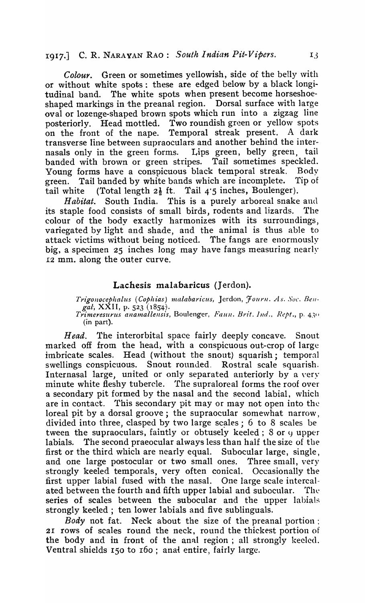# r9 17.] C. R. NARAYAN RAO: *South Indian Pit-Vipers. 13*

Colour. Green or sometimes vellowish, side of the belly with or without white spots: these are edged below by a black longitudinal band. The white spots when present become horseshoeshaped markings in the preanal region. Dorsal surface with large oval or lozenge-shaped brown spots which run into a zigzag line posteriorly. Head mottled. Two roundish green or yellow spots<br>on the front of the nape. Temporal streak present. A dark Temporal streak present. A dark transverse line between supraoculars and another behind the internasals only in the green forms. Lips green, belly green, tail banded with brown or green stripes. Tail sometimes speckled. Young forms have a conspicuous black temporal streak. Body green. Tail banded by white bands which are incomplete. Tip of tail white (Total length  $2\frac{1}{2}$  ft. Tail 4.5 inches, Boulenger).

*Habitat.* South India. This is a purely arboreal snake and its staple food consists of small birds, rodents and lizards. The colour of the body exactly harmonizes with its surroundings, variegated by light and shade, and the animal is thus able to attack victims without being noticed. The fangs are enormously big, a specimen 25 inches long may have fangs measuring nearly 12 mm. along the outer curve.

# Lachesis malabaricus (Jerdon).

*Trigonocephalus (Cophias) malabaricus, Jerdon, Fourn. As. Soc. Bengal*, XXII, p. 523 (1854). *Trimeresurus anamallellsis,* Boulenger, *Faull. Brit.* Jud., *Rept.,* p. 43" (in part).

*Head.* The interorbital space fairly deeply concave. Snout marked off from the head, with a conspicuous out-crop of large imbricate scales. Head (without the snout) squarish; temporal swellings conspicuous. Snout rounded. Rostral scale squarish. Internasal large, united or only separated anteriorly by a very minute white fleshy tubercle. 'fhe supraloreal forms the roof over a secondary pit formed by the nasal and the second labial, which are in contact. This secondary pit may or may not open into the loreal pit by a dorsal groove; the supraocular somewhat narrow, divided into three, clasped by two large scales;  $6$  to 8 scales be tween the supraoculars, faintly or obtusely keeled;  $8$  or  $\theta$  upper labials. The second praeocular always less than half the size of the first or the third which are nearly equal. Subocular large, single, and one large postocular or two small ones. Three small, very strongly keeled temporals, very often conical. Occasionally the first upper labial fused with the nasal. One large scale intercalated between the fourth and fifth upper labial and subocular. The series of scales between the subocular and the upper labials strongly keeled; ten lower labials and five sublinguals.

*Body* not fat. Neck about the size of the preanal portion: 21 rows of scales round the neck, round the thickest portion of the body and in front of the anal region; all strongly keeled. Ventral shields 150 to r60; anai entire, fairly large.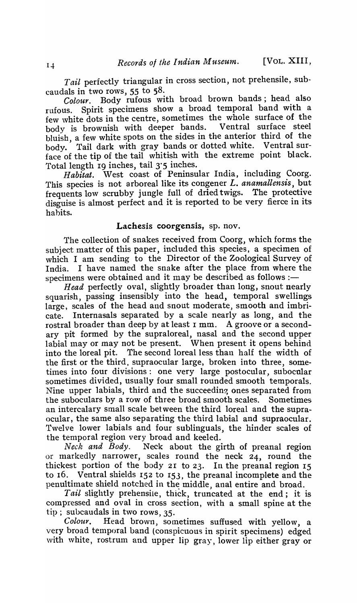*Tail* perfectly triangular in cross section, not prehensile, subcaudals in two rows, 55 to 58.

*Colour.* Body rufous with broad brown bands; head also rufous. Spirit specimens show a broad temporal band with a few white dots in the centre, sometimes the whole surface of the body is brownish with deeper bands. Ventral surface steel body is brownish with deeper bands. bluish, a few white spots on the sides in the anterior third of the body. Tail dark with gray bands or dotted white. Ventral surface of the tip of the tail whitish with the extreme point black. Total length  $19$  inches, tail  $3.5$  inches.

Habitat. West coast of Peninsular India, including Coorg. This species is not arboreal like its congener *L. anamallensis,* but frequents low scrubby jungle full of dried twigs. The protective disguise is almost perfect and it is reported to be very fierce in its habits.

#### Lachesis coorgensis, sp. nov.

The collection of snakes received from Coorg, which forms the subject matter of this paper, included this species, a specimen of which I am sending to the Director of the Zoological Survey of India. I have named the snake after the place from where the specimens were obtained and it may be described as follows :-

*Head* perfectly oval, slightly broader than long, snout nearly squarish, passing insensibly into the head, temporal swellings large, scales of the head and snout moderate, smooth and imbricate. Internasals separated by a scale nearly as long, and the rostral broader than deep by at least I mm. A groove or a secondary pit formed by the supraloreal, nasal and the second upper labial may or may not be present. When present it opens behind into the loreal pit. The second loreal less than half the width of the first or the third, supraocular large, broken into three, sometimes into four divisions: one very large postocular, subocular sometimes divided, usually four small rounded smooth temporals. Nine upper labials, third and the succeeding ones separated from the suboculars by a row of three broad smooth scales. Sometimes an intercalary small scale bet ween the third loreal and the supraocular, the same also separating the third labial and supraocular. Twelve lower labials and four sublinguals, the hinder scales of the temporal region very broad and keeled.<br>Neck and Body. Neck about the gi

Neck about the girth of preanal region or markedly narrower, scales round the neck 24, round the thickest portion of the body 21 to 23. In the preanal region  $15$ to 16. Ventral shields  $152$  to  $153$ , the preanal incomplete and the penultimate shield notched in the middle, anal entire and broad.

*Tail* slightly prehensile, thick, truncated at the end; it is compressed and oval in cross section, with a small spine at the tip; subcaudals in two rows, 35.

Colour. Head brown, sometimes suffused with yellow, a very broad temporal band (conspicuous in spirit specimens) edged with white, rostrum and upper lip gray, lower lip either gray or